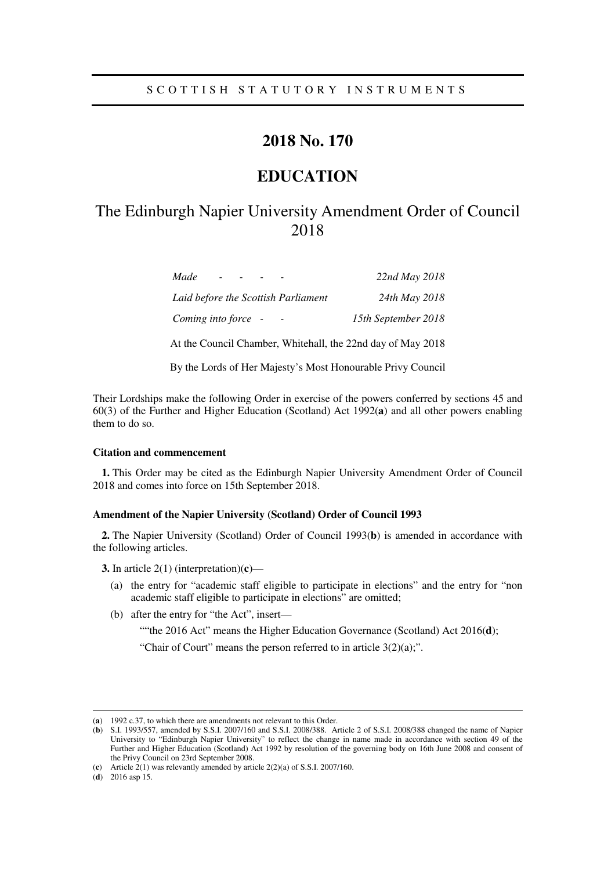# **2018 No. 170**

# **EDUCATION**

# The Edinburgh Napier University Amendment Order of Council 2018

| Made<br>$\overline{\phantom{0}}$    | 22nd May 2018       |
|-------------------------------------|---------------------|
| Laid before the Scottish Parliament | 24th May 2018       |
| Coming into force -                 | 15th September 2018 |

At the Council Chamber, Whitehall, the 22nd day of May 2018

By the Lords of Her Majesty's Most Honourable Privy Council

Their Lordships make the following Order in exercise of the powers conferred by sections 45 and 60(3) of the Further and Higher Education (Scotland) Act 1992(**a**) and all other powers enabling them to do so.

### **Citation and commencement**

**1.** This Order may be cited as the Edinburgh Napier University Amendment Order of Council 2018 and comes into force on 15th September 2018.

### **Amendment of the Napier University (Scotland) Order of Council 1993**

**2.** The Napier University (Scotland) Order of Council 1993(**b**) is amended in accordance with the following articles.

**3.** In article 2(1) (interpretation)(**c**)—

- (a) the entry for "academic staff eligible to participate in elections" and the entry for "non academic staff eligible to participate in elections" are omitted;
- (b) after the entry for "the Act", insert—
	- ""the 2016 Act" means the Higher Education Governance (Scotland) Act 2016(d);

"Chair of Court" means the person referred to in article  $3(2)(a)$ ;".

-

<sup>(</sup>**a**) 1992 c.37, to which there are amendments not relevant to this Order.

<sup>(</sup>**b**) S.I. 1993/557, amended by S.S.I. 2007/160 and S.S.I. 2008/388. Article 2 of S.S.I. 2008/388 changed the name of Napier University to "Edinburgh Napier University" to reflect the change in name made in accordance with section 49 of the Further and Higher Education (Scotland) Act 1992 by resolution of the governing body on 16th June 2008 and consent of the Privy Council on 23rd September 2008.

<sup>(</sup>**c**) Article 2(1) was relevantly amended by article 2(2)(a) of S.S.I. 2007/160.

<sup>(</sup>**d**) 2016 asp 15.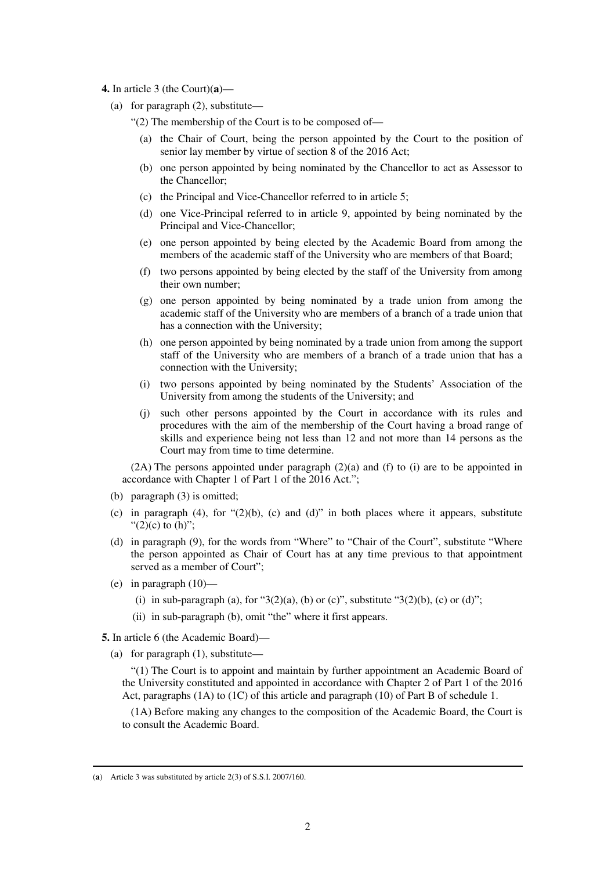- **4.** In article 3 (the Court)(**a**)—
	- (a) for paragraph (2), substitute—
		- "(2) The membership of the Court is to be composed of—
			- (a) the Chair of Court, being the person appointed by the Court to the position of senior lay member by virtue of section 8 of the 2016 Act;
			- (b) one person appointed by being nominated by the Chancellor to act as Assessor to the Chancellor;
			- (c) the Principal and Vice-Chancellor referred to in article 5;
			- (d) one Vice-Principal referred to in article 9, appointed by being nominated by the Principal and Vice-Chancellor;
			- (e) one person appointed by being elected by the Academic Board from among the members of the academic staff of the University who are members of that Board;
			- (f) two persons appointed by being elected by the staff of the University from among their own number;
			- (g) one person appointed by being nominated by a trade union from among the academic staff of the University who are members of a branch of a trade union that has a connection with the University;
			- (h) one person appointed by being nominated by a trade union from among the support staff of the University who are members of a branch of a trade union that has a connection with the University;
			- (i) two persons appointed by being nominated by the Students' Association of the University from among the students of the University; and
			- (j) such other persons appointed by the Court in accordance with its rules and procedures with the aim of the membership of the Court having a broad range of skills and experience being not less than 12 and not more than 14 persons as the Court may from time to time determine.

(2A) The persons appointed under paragraph (2)(a) and (f) to (i) are to be appointed in accordance with Chapter 1 of Part 1 of the 2016 Act.";

- (b) paragraph (3) is omitted;
- (c) in paragraph (4), for  $\lq(2)(b)$ , (c) and (d)" in both places where it appears, substitute " $(2)(c)$  to  $(h)$ ";
- (d) in paragraph (9), for the words from "Where" to "Chair of the Court", substitute "Where the person appointed as Chair of Court has at any time previous to that appointment served as a member of Court";
- (e) in paragraph (10)—

-

- (i) in sub-paragraph (a), for " $3(2)(a)$ , (b) or (c)", substitute " $3(2)(b)$ , (c) or (d)";
- (ii) in sub-paragraph (b), omit "the" where it first appears.
- **5.** In article 6 (the Academic Board)—
	- (a) for paragraph (1), substitute—

"(1) The Court is to appoint and maintain by further appointment an Academic Board of the University constituted and appointed in accordance with Chapter 2 of Part 1 of the 2016 Act, paragraphs (1A) to (1C) of this article and paragraph (10) of Part B of schedule 1.

(1A) Before making any changes to the composition of the Academic Board, the Court is to consult the Academic Board.

<sup>(</sup>**a**) Article 3 was substituted by article 2(3) of S.S.I. 2007/160.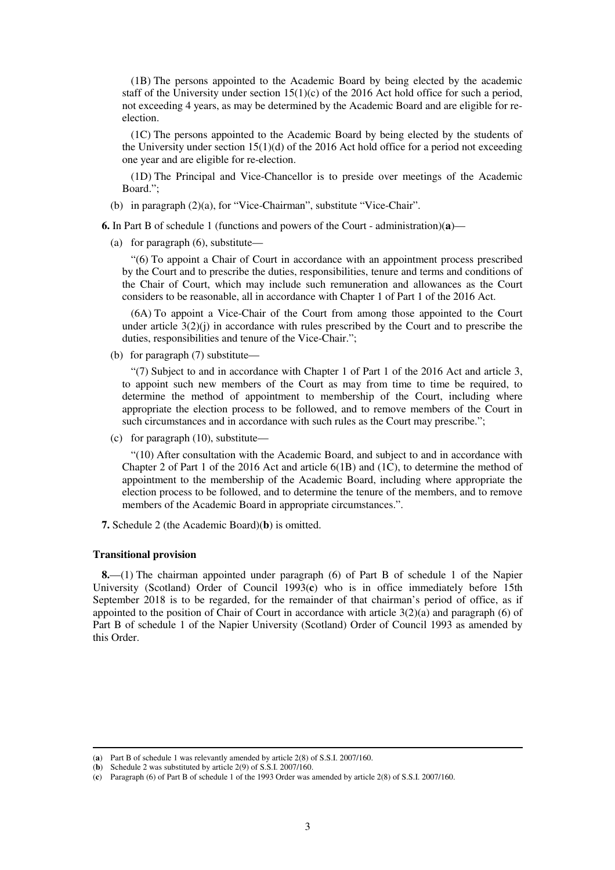(1B) The persons appointed to the Academic Board by being elected by the academic staff of the University under section  $15(1)(c)$  of the 2016 Act hold office for such a period, not exceeding 4 years, as may be determined by the Academic Board and are eligible for reelection.

(1C) The persons appointed to the Academic Board by being elected by the students of the University under section  $15(1)(d)$  of the 2016 Act hold office for a period not exceeding one year and are eligible for re-election.

(1D) The Principal and Vice-Chancellor is to preside over meetings of the Academic Board.";

(b) in paragraph (2)(a), for "Vice-Chairman", substitute "Vice-Chair".

**6.** In Part B of schedule 1 (functions and powers of the Court - administration)(**a**)—

(a) for paragraph (6), substitute—

"(6) To appoint a Chair of Court in accordance with an appointment process prescribed by the Court and to prescribe the duties, responsibilities, tenure and terms and conditions of the Chair of Court, which may include such remuneration and allowances as the Court considers to be reasonable, all in accordance with Chapter 1 of Part 1 of the 2016 Act.

(6A) To appoint a Vice-Chair of the Court from among those appointed to the Court under article  $3(2)(j)$  in accordance with rules prescribed by the Court and to prescribe the duties, responsibilities and tenure of the Vice-Chair.";

(b) for paragraph (7) substitute—

"(7) Subject to and in accordance with Chapter 1 of Part 1 of the 2016 Act and article 3, to appoint such new members of the Court as may from time to time be required, to determine the method of appointment to membership of the Court, including where appropriate the election process to be followed, and to remove members of the Court in such circumstances and in accordance with such rules as the Court may prescribe.";

(c) for paragraph (10), substitute—

"(10) After consultation with the Academic Board, and subject to and in accordance with Chapter 2 of Part 1 of the 2016 Act and article 6(1B) and (1C), to determine the method of appointment to the membership of the Academic Board, including where appropriate the election process to be followed, and to determine the tenure of the members, and to remove members of the Academic Board in appropriate circumstances.".

**7.** Schedule 2 (the Academic Board)(**b**) is omitted.

### **Transitional provision**

-

**8.**—(1) The chairman appointed under paragraph (6) of Part B of schedule 1 of the Napier University (Scotland) Order of Council 1993(**c**) who is in office immediately before 15th September 2018 is to be regarded, for the remainder of that chairman's period of office, as if appointed to the position of Chair of Court in accordance with article 3(2)(a) and paragraph (6) of Part B of schedule 1 of the Napier University (Scotland) Order of Council 1993 as amended by this Order.

<sup>(</sup>**a**) Part B of schedule 1 was relevantly amended by article 2(8) of S.S.I. 2007/160.

<sup>(</sup>**b**) Schedule 2 was substituted by article 2(9) of S.S.I. 2007/160.

<sup>(</sup>**c**) Paragraph (6) of Part B of schedule 1 of the 1993 Order was amended by article 2(8) of S.S.I. 2007/160.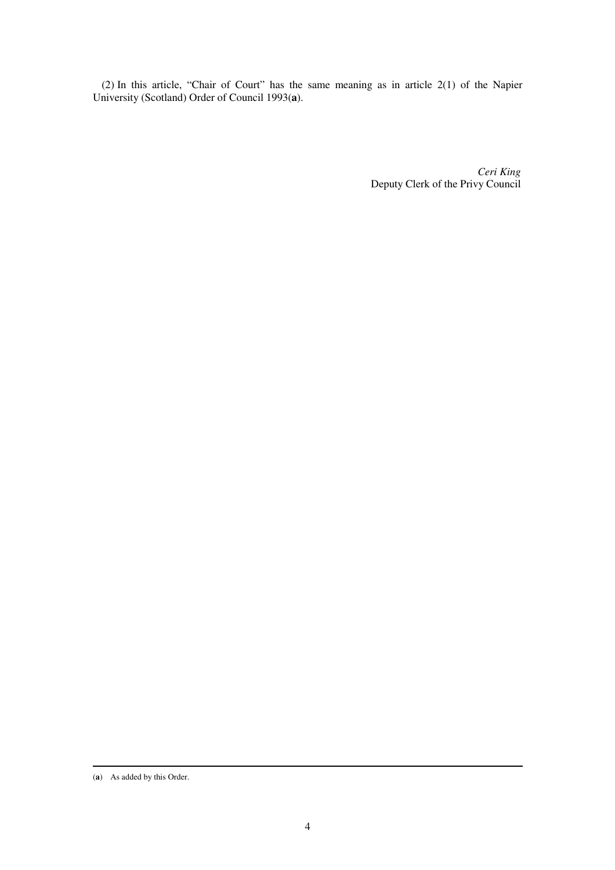(2) In this article, "Chair of Court" has the same meaning as in article 2(1) of the Napier University (Scotland) Order of Council 1993(**a**).

> *Ceri King* Deputy Clerk of the Privy Council

<sup>-</sup>(**a**) As added by this Order.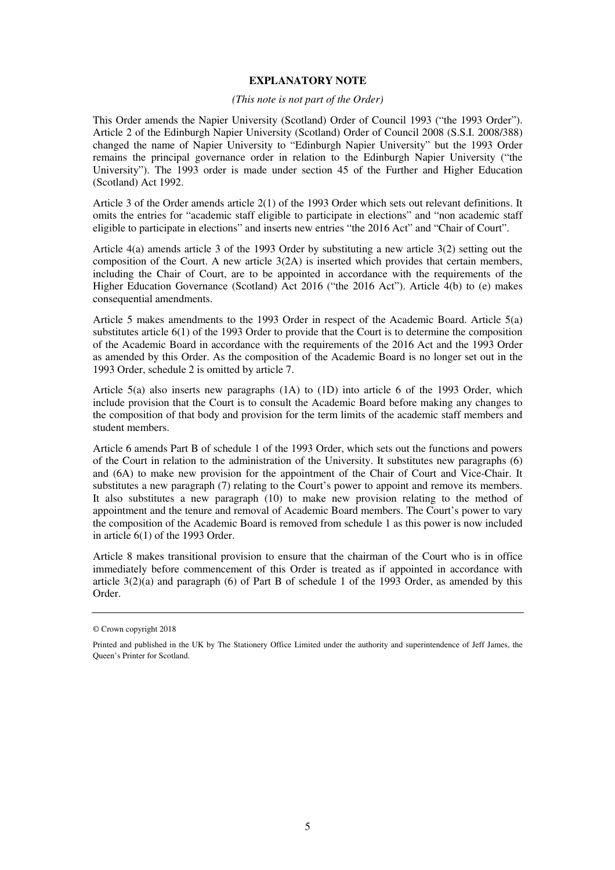### **EXPLANATORY NOTE**

### *(This note is not part of the Order)*

This Order amends the Napier University (Scotland) Order of Council 1993 ("the 1993 Order"). Article 2 of the Edinburgh Napier University (Scotland) Order of Council 2008 (S.S.I. 2008/388) changed the name of Napier University to "Edinburgh Napier University" but the 1993 Order remains the principal governance order in relation to the Edinburgh Napier University ("the University"). The 1993 order is made under section 45 of the Further and Higher Education (Scotland) Act 1992.

Article 3 of the Order amends article 2(1) of the 1993 Order which sets out relevant definitions. It omits the entries for "academic staff eligible to participate in elections" and "non academic staff eligible to participate in elections" and inserts new entries "the 2016 Act" and "Chair of Court".

Article 4(a) amends article 3 of the 1993 Order by substituting a new article 3(2) setting out the composition of the Court. A new article 3(2A) is inserted which provides that certain members, including the Chair of Court, are to be appointed in accordance with the requirements of the Higher Education Governance (Scotland) Act 2016 ("the 2016 Act"). Article 4(b) to (e) makes consequential amendments.

Article 5 makes amendments to the 1993 Order in respect of the Academic Board. Article 5(a) substitutes article 6(1) of the 1993 Order to provide that the Court is to determine the composition of the Academic Board in accordance with the requirements of the 2016 Act and the 1993 Order as amended by this Order. As the composition of the Academic Board is no longer set out in the 1993 Order, schedule 2 is omitted by article 7.

Article 5(a) also inserts new paragraphs (1A) to (1D) into article 6 of the 1993 Order, which include provision that the Court is to consult the Academic Board before making any changes to the composition of that body and provision for the term limits of the academic staff members and student members.

Article 6 amends Part B of schedule 1 of the 1993 Order, which sets out the functions and powers of the Court in relation to the administration of the University. It substitutes new paragraphs (6) and (6A) to make new provision for the appointment of the Chair of Court and Vice-Chair. It substitutes a new paragraph (7) relating to the Court's power to appoint and remove its members. It also substitutes a new paragraph (10) to make new provision relating to the method of appointment and the tenure and removal of Academic Board members. The Court's power to vary the composition of the Academic Board is removed from schedule 1 as this power is now included in article 6(1) of the 1993 Order.

Article 8 makes transitional provision to ensure that the chairman of the Court who is in office immediately before commencement of this Order is treated as if appointed in accordance with article 3(2)(a) and paragraph (6) of Part B of schedule 1 of the 1993 Order, as amended by this Order.

<sup>©</sup> Crown copyright 2018

Printed and published in the UK by The Stationery Office Limited under the authority and superintendence of Jeff James, the Queen's Printer for Scotland.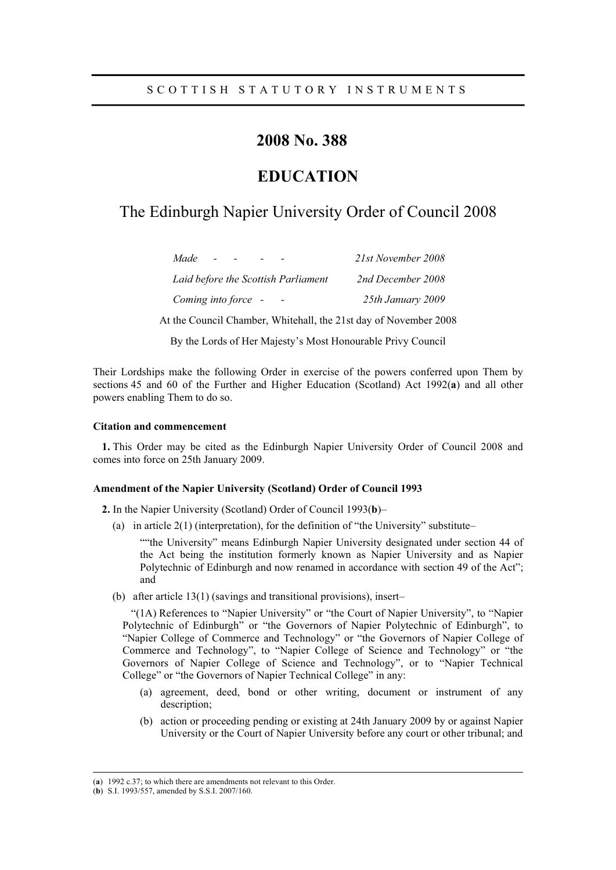# 2008 No. 388

# **EDUCATION**

# The Edinburgh Napier University Order of Council 2008

| Made<br><b>Carl Carl</b>            | 21st November 2008 |
|-------------------------------------|--------------------|
| Laid before the Scottish Parliament | 2nd December 2008  |
| Coming into force –                 | 25th January 2009  |

At the Council Chamber, Whitehall, the 21st day of November 2008

By the Lords of Her Majesty's Most Honourable Privy Council

Their Lordships make the following Order in exercise of the powers conferred upon Them by sections 45 and 60 of the Further and Higher Education (Scotland) Act 1992(a) and all other powers enabling Them to do so.

### **Citation and commencement**

1. This Order may be cited as the Edinburgh Napier University Order of Council 2008 and comes into force on 25th January 2009.

### Amendment of the Napier University (Scotland) Order of Council 1993

**2.** In the Napier University (Scotland) Order of Council 1993(b)–

(a) in article  $2(1)$  (interpretation), for the definition of "the University" substitute-

""the University" means Edinburgh Napier University designated under section 44 of the Act being the institution formerly known as Napier University and as Napier Polytechnic of Edinburgh and now renamed in accordance with section 49 of the Act"; and

(b) after article  $13(1)$  (savings and transitional provisions), insert-

"(1A) References to "Napier University" or "the Court of Napier University", to "Napier Polytechnic of Edinburgh" or "the Governors of Napier Polytechnic of Edinburgh", to "Napier College of Commerce and Technology" or "the Governors of Napier College of Commerce and Technology", to "Napier College of Science and Technology" or "the Governors of Napier College of Science and Technology", or to "Napier Technical College" or "the Governors of Napier Technical College" in any:

- (a) agreement, deed, bond or other writing, document or instrument of any description;
- (b) action or proceeding pending or existing at 24th January 2009 by or against Napier University or the Court of Napier University before any court or other tribunal; and

<sup>(</sup>a) 1992 c.37; to which there are amendments not relevant to this Order.

<sup>(</sup>b) S.I. 1993/557, amended by S.S.I. 2007/160.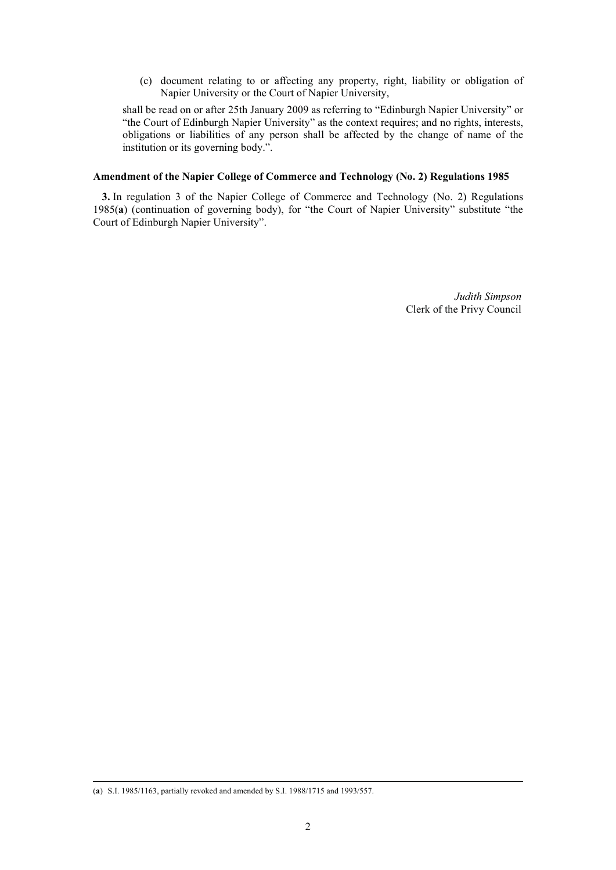(c) document relating to or affecting any property, right, liability or obligation of Napier University or the Court of Napier University,

shall be read on or after 25th January 2009 as referring to "Edinburgh Napier University" or "the Court of Edinburgh Napier University" as the context requires; and no rights, interests, obligations or liabilities of any person shall be affected by the change of name of the institution or its governing body.".

### Amendment of the Napier College of Commerce and Technology (No. 2) Regulations 1985

3. In regulation 3 of the Napier College of Commerce and Technology (No. 2) Regulations 1985(a) (continuation of governing body), for "the Court of Napier University" substitute "the Court of Edinburgh Napier University".

> Judith Simpson Clerk of the Privy Council

<sup>(</sup>a) S.I. 1985/1163, partially revoked and amended by S.I. 1988/1715 and 1993/557.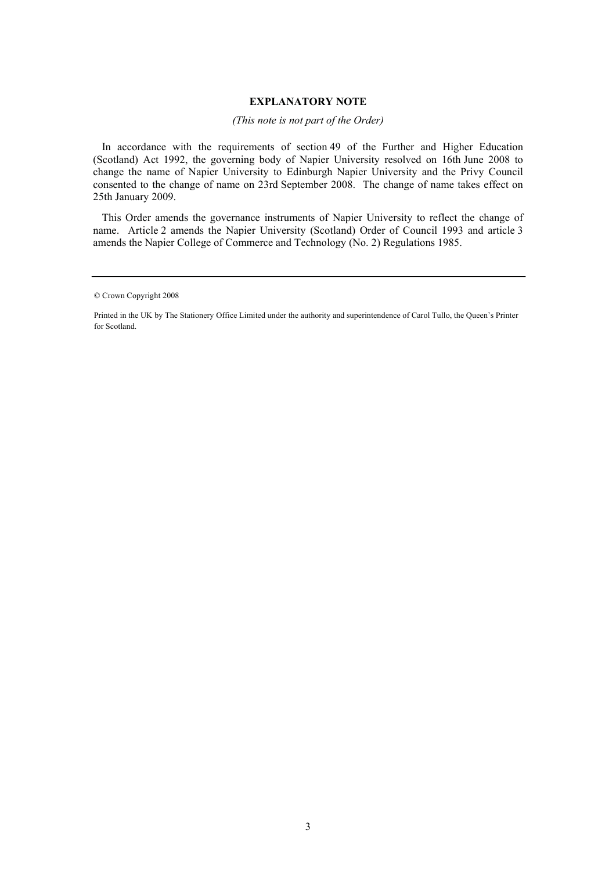### **EXPLANATORY NOTE**

### (This note is not part of the Order)

In accordance with the requirements of section 49 of the Further and Higher Education (Scotland) Act 1992, the governing body of Napier University resolved on 16th June 2008 to change the name of Napier University to Edinburgh Napier University and the Privy Council consented to the change of name on 23rd September 2008. The change of name takes effect on 25th January 2009.

This Order amends the governance instruments of Napier University to reflect the change of name. Article 2 amends the Napier University (Scotland) Order of Council 1993 and article 3 amends the Napier College of Commerce and Technology (No. 2) Regulations 1985.

<sup>©</sup> Crown Copyright 2008

Printed in the UK by The Stationery Office Limited under the authority and superintendence of Carol Tullo, the Queen's Printer for Scotland.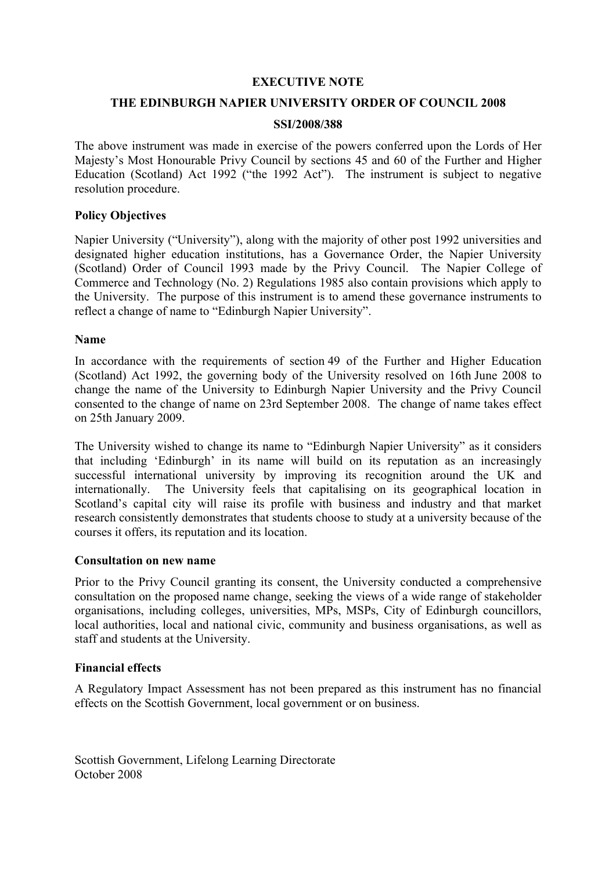# EXECUTIVE NOTE

## THE EDINBURGH NAPIER UNIVERSITY ORDER OF COUNCIL 2008

## SSI/2008/388

The above instrument was made in exercise of the powers conferred upon the Lords of Her Majesty's Most Honourable Privy Council by sections 45 and 60 of the Further and Higher Education (Scotland) Act 1992 ("the 1992 Act"). The instrument is subject to negative resolution procedure.

## Policy Objectives

Napier University ("University"), along with the majority of other post 1992 universities and designated higher education institutions, has a Governance Order, the Napier University (Scotland) Order of Council 1993 made by the Privy Council. The Napier College of Commerce and Technology (No. 2) Regulations 1985 also contain provisions which apply to the University. The purpose of this instrument is to amend these governance instruments to reflect a change of name to "Edinburgh Napier University".

### Name

In accordance with the requirements of section 49 of the Further and Higher Education (Scotland) Act 1992, the governing body of the University resolved on 16th June 2008 to change the name of the University to Edinburgh Napier University and the Privy Council consented to the change of name on 23rd September 2008. The change of name takes effect on 25th January 2009.

The University wished to change its name to "Edinburgh Napier University" as it considers that including 'Edinburgh' in its name will build on its reputation as an increasingly successful international university by improving its recognition around the UK and internationally. The University feels that capitalising on its geographical location in Scotland's capital city will raise its profile with business and industry and that market research consistently demonstrates that students choose to study at a university because of the courses it offers, its reputation and its location.

### Consultation on new name

Prior to the Privy Council granting its consent, the University conducted a comprehensive consultation on the proposed name change, seeking the views of a wide range of stakeholder organisations, including colleges, universities, MPs, MSPs, City of Edinburgh councillors, local authorities, local and national civic, community and business organisations, as well as staff and students at the University.

## Financial effects

A Regulatory Impact Assessment has not been prepared as this instrument has no financial effects on the Scottish Government, local government or on business.

Scottish Government, Lifelong Learning Directorate October 2008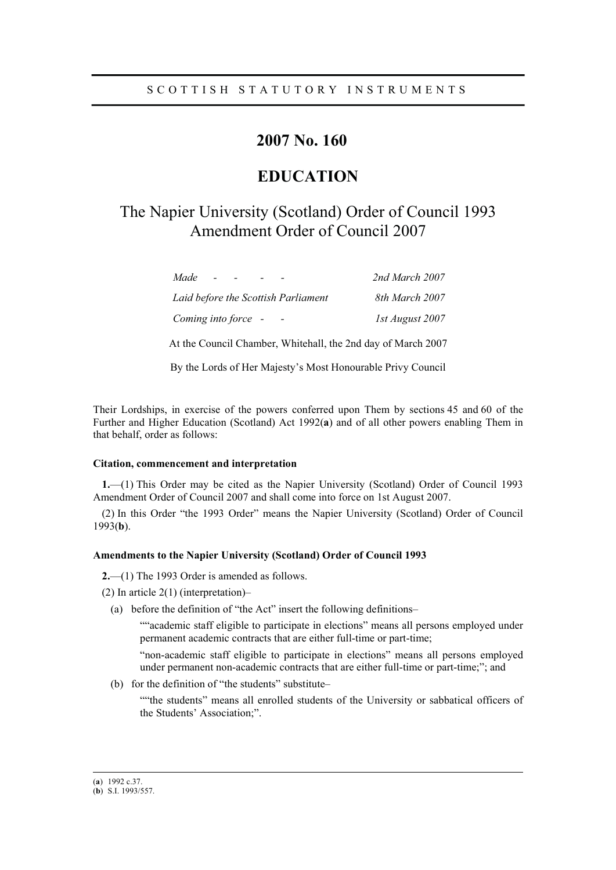# 2007 No. 160

# **EDUCATION**

# The Napier University (Scotland) Order of Council 1993 Amendment Order of Council 2007

| Made                                | 2nd March 2007  |
|-------------------------------------|-----------------|
| Laid before the Scottish Parliament | 8th March 2007  |
| Coming into force -                 | 1st August 2007 |

At the Council Chamber, Whitehall, the 2nd day of March 2007

By the Lords of Her Majesty's Most Honourable Privy Council

Their Lordships, in exercise of the powers conferred upon Them by sections 45 and 60 of the Further and Higher Education (Scotland) Act 1992(a) and of all other powers enabling Them in that behalf, order as follows:

#### Citation, commencement and interpretation

1.—1) This Order may be cited as the Napier University (Scotland) Order of Council 1993 Amendment Order of Council 2007 and shall come into force on 1st August 2007.

(2) In this Order "the 1993 Order" means the Napier University (Scotland) Order of Council  $1993(b)$ .

### Amendments to the Napier University (Scotland) Order of Council 1993

 $2$ , (1) The 1993 Order is amended as follows.

- (2) In article  $2(1)$  (interpretation)-
	- (a) before the definition of "the Act" insert the following definitions-

""academic staff eligible to participate in elections" means all persons employed under permanent academic contracts that are either full-time or part-time;

"non-academic staff eligible to participate in elections" means all persons employed under permanent non-academic contracts that are either full-time or part-time;"; and

(b) for the definition of "the students" substitute-

""the students" means all enrolled students of the University or sabbatical officers of the Students' Association;".

<sup>(</sup>a)  $1992$  c.37.

<sup>(</sup>b) S.I. 1993/557.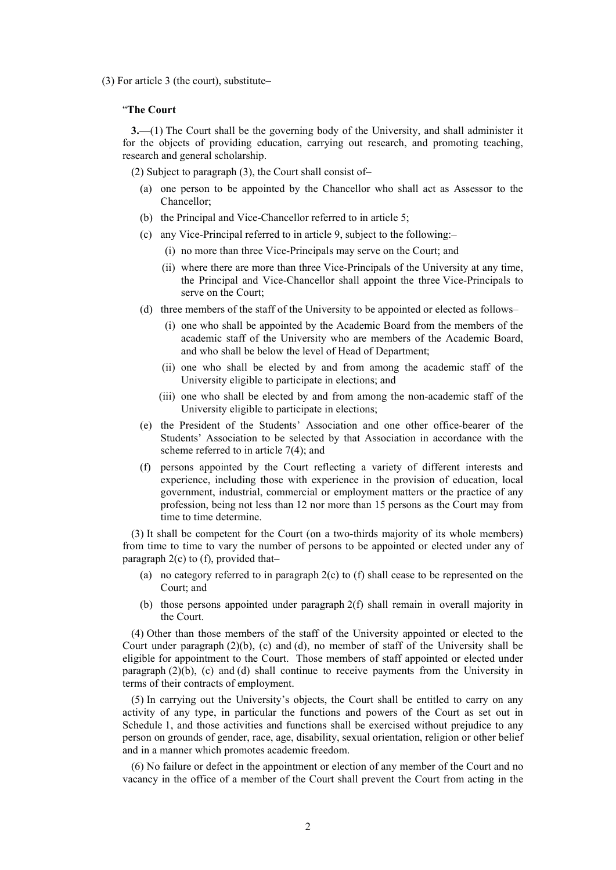$(3)$  For article 3 (the court), substitute–

### "The Court

 $3$ —(1) The Court shall be the governing body of the University, and shall administer it for the objects of providing education, carrying out research, and promoting teaching. research and general scholarship.

(2) Subject to paragraph  $(3)$ , the Court shall consist of-

- (a) one person to be appointed by the Chancellor who shall act as Assessor to the Chancellor:
- (b) the Principal and Vice-Chancellor referred to in article 5;
- (c) any Vice-Principal referred to in article 9, subject to the following:-
	- (i) no more than three Vice-Principals may serve on the Court; and
	- (ii) where there are more than three Vice-Principals of the University at any time, the Principal and Vice-Chancellor shall appoint the three Vice-Principals to serve on the Court:
- (d) three members of the staff of the University to be appointed or elected as follows-
	- (i) one who shall be appointed by the Academic Board from the members of the academic staff of the University who are members of the Academic Board, and who shall be below the level of Head of Department:
	- (ii) one who shall be elected by and from among the academic staff of the University eligible to participate in elections; and
	- (iii) one who shall be elected by and from among the non-academic staff of the University eligible to participate in elections;
- (e) the President of the Students' Association and one other office-bearer of the Students' Association to be selected by that Association in accordance with the scheme referred to in article  $7(4)$ ; and
- (f) persons appointed by the Court reflecting a variety of different interests and experience, including those with experience in the provision of education, local government, industrial, commercial or employment matters or the practice of any profession, being not less than 12 nor more than 15 persons as the Court may from time to time determine.

(3) It shall be competent for the Court (on a two-thirds majority of its whole members) from time to time to vary the number of persons to be appointed or elected under any of paragraph  $2(c)$  to (f), provided that-

- (a) no category referred to in paragraph  $2(c)$  to (f) shall cease to be represented on the Court; and
- (b) those persons appointed under paragraph 2(f) shall remain in overall majority in the Court.

(4) Other than those members of the staff of the University appointed or elected to the Court under paragraph  $(2)(b)$ , (c) and (d), no member of staff of the University shall be eligible for appointment to the Court. Those members of staff appointed or elected under paragraph  $(2)(b)$ ,  $(c)$  and  $(d)$  shall continue to receive payments from the University in terms of their contracts of employment.

(5) In carrying out the University's objects, the Court shall be entitled to carry on any activity of any type, in particular the functions and powers of the Court as set out in Schedule 1, and those activities and functions shall be exercised without prejudice to any person on grounds of gender, race, age, disability, sexual orientation, religion or other belief and in a manner which promotes academic freedom.

(6) No failure or defect in the appointment or election of any member of the Court and no vacancy in the office of a member of the Court shall prevent the Court from acting in the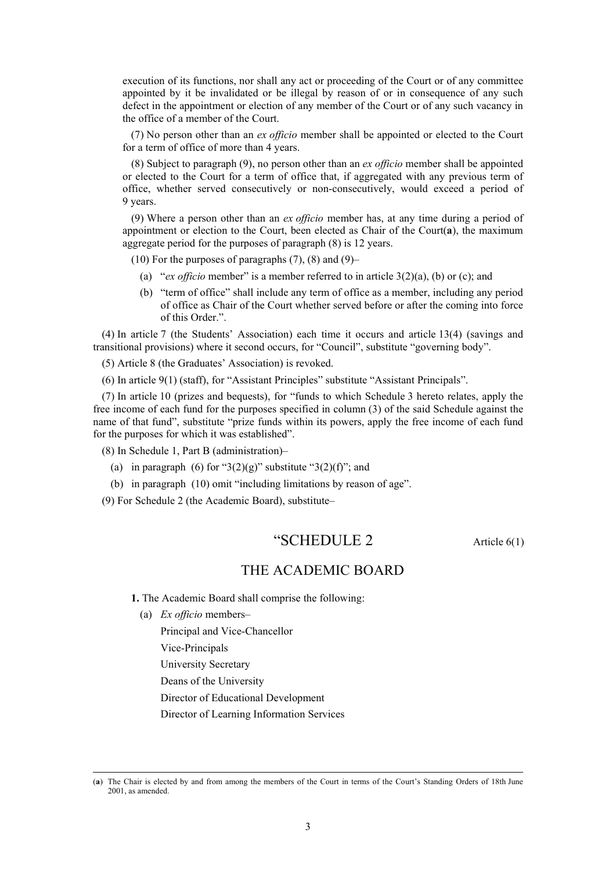execution of its functions, nor shall any act or proceeding of the Court or of any committee appointed by it be invalidated or be illegal by reason of or in consequence of any such defect in the appointment or election of any member of the Court or of any such vacancy in the office of a member of the Court.

(7) No person other than an ex officio member shall be appointed or elected to the Court for a term of office of more than 4 years.

(8) Subject to paragraph (9), no person other than an  $ex$  officio member shall be appointed or elected to the Court for a term of office that, if aggregated with any previous term of office, whether served consecutively or non-consecutively, would exceed a period of 9 years.

(9) Where a person other than an *ex officio* member has, at any time during a period of appointment or election to the Court, been elected as Chair of the Court( $a$ ), the maximum aggregate period for the purposes of paragraph (8) is 12 years.

- $(10)$  For the purposes of paragraphs  $(7)$ ,  $(8)$  and  $(9)$ -
	- (a) "ex officio member" is a member referred to in article  $3(2)(a)$ , (b) or (c); and
	- (b) "term of office" shall include any term of office as a member, including any period of office as Chair of the Court whether served before or after the coming into force of this Order.".

(4) In article 7 (the Students' Association) each time it occurs and article 13(4) (savings and transitional provisions) where it second occurs, for "Council", substitute "governing body".

(5) Article 8 (the Graduates' Association) is revoked.

 $(6)$  In article  $9(1)$  (staff), for "Assistant Principles" substitute "Assistant Principals".

(7) In article 10 (prizes and bequests), for "funds to which Schedule 3 hereto relates, apply the free income of each fund for the purposes specified in column (3) of the said Schedule against the name of that fund", substitute "prize funds within its powers, apply the free income of each fund for the purposes for which it was established".

(8) In Schedule 1, Part B (administration)–

- (a) in paragraph (6) for " $3(2)(g)$ " substitute " $3(2)(f)$ "; and
- (b) in paragraph  $(10)$  omit "including limitations by reason of age".

(9) For Schedule 2 (the Academic Board), substitute-

# "SCHEDULE 2

Article  $6(1)$ 

## THE ACADEMIC BOARD

1. The Academic Board shall comprise the following:

(a) Ex officio members-

Principal and Vice-Chancellor

Vice-Principals

University Secretary

Deans of the University

Director of Educational Development

Director of Learning Information Services

<sup>(</sup>a) The Chair is elected by and from among the members of the Court in terms of the Court's Standing Orders of 18th June 2001, as amended.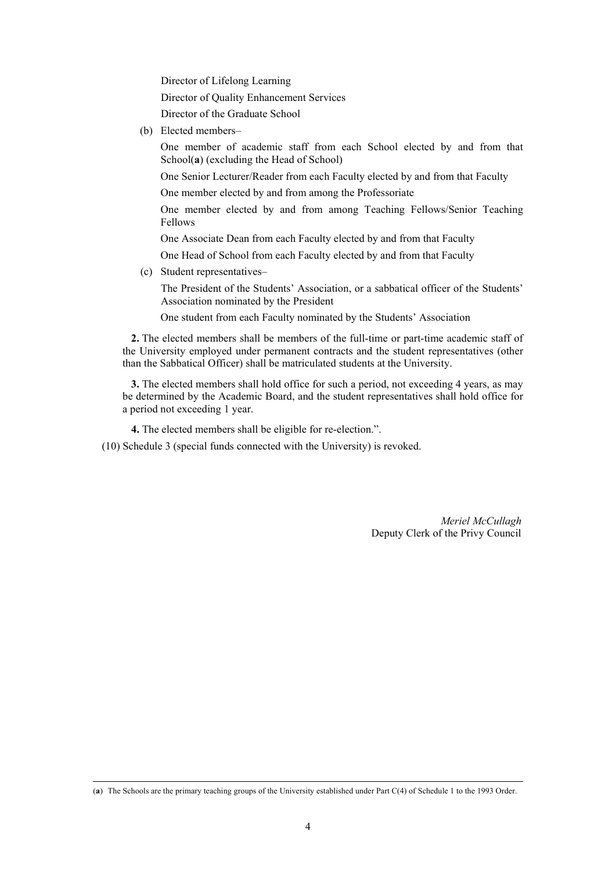Director of Lifelong Learning

Director of Ouality Enhancement Services

Director of the Graduate School

(b) Elected members-

One member of academic staff from each School elected by and from that School(a) (excluding the Head of School)

One Senior Lecturer/Reader from each Faculty elected by and from that Faculty

One member elected by and from among the Professoriate

One member elected by and from among Teaching Fellows/Senior Teaching Fellows

One Associate Dean from each Faculty elected by and from that Faculty

One Head of School from each Faculty elected by and from that Faculty

(c) Student representatives-

The President of the Students' Association, or a sabbatical officer of the Students' Association nominated by the President

One student from each Faculty nominated by the Students' Association

2. The elected members shall be members of the full-time or part-time academic staff of the University employed under permanent contracts and the student representatives (other than the Sabbatical Officer) shall be matriculated students at the University.

3. The elected members shall hold office for such a period, not exceeding 4 years, as may be determined by the Academic Board, and the student representatives shall hold office for a period not exceeding 1 year.

4. The elected members shall be eligible for re-election.".

(10) Schedule 3 (special funds connected with the University) is revoked.

Meriel McCullagh Deputy Clerk of the Privy Council

<sup>(</sup>a) The Schools are the primary teaching groups of the University established under Part C(4) of Schedule 1 to the 1993 Order.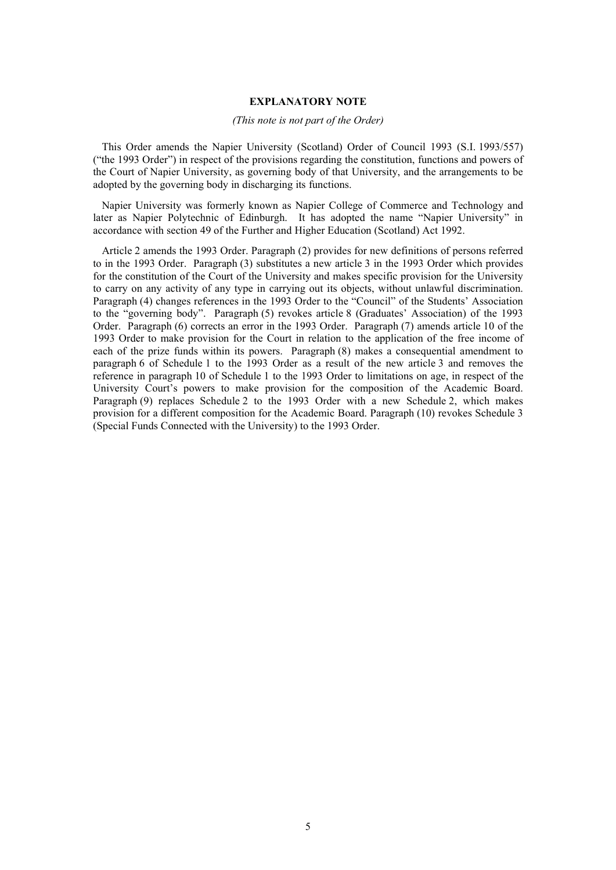### **EXPLANATORY NOTE**

### (This note is not part of the Order)

This Order amends the Napier University (Scotland) Order of Council 1993 (S.I. 1993/557) ("the 1993 Order") in respect of the provisions regarding the constitution, functions and powers of the Court of Napier University, as governing body of that University, and the arrangements to be adopted by the governing body in discharging its functions.

Napier University was formerly known as Napier College of Commerce and Technology and later as Napier Polytechnic of Edinburgh. It has adopted the name "Napier University" in accordance with section 49 of the Further and Higher Education (Scotland) Act 1992.

Article 2 amends the 1993 Order. Paragraph (2) provides for new definitions of persons referred to in the 1993 Order. Paragraph (3) substitutes a new article 3 in the 1993 Order which provides for the constitution of the Court of the University and makes specific provision for the University to carry on any activity of any type in carrying out its objects, without unlawful discrimination. Paragraph (4) changes references in the 1993 Order to the "Council" of the Students' Association to the "governing body". Paragraph (5) revokes article 8 (Graduates' Association) of the 1993 Order. Paragraph (6) corrects an error in the 1993 Order. Paragraph (7) amends article 10 of the 1993 Order to make provision for the Court in relation to the application of the free income of each of the prize funds within its powers. Paragraph (8) makes a consequential amendment to paragraph 6 of Schedule 1 to the 1993 Order as a result of the new article 3 and removes the reference in paragraph 10 of Schedule 1 to the 1993 Order to limitations on age, in respect of the University Court's powers to make provision for the composition of the Academic Board. Paragraph (9) replaces Schedule 2 to the 1993 Order with a new Schedule 2, which makes provision for a different composition for the Academic Board. Paragraph (10) revokes Schedule 3 (Special Funds Connected with the University) to the 1993 Order.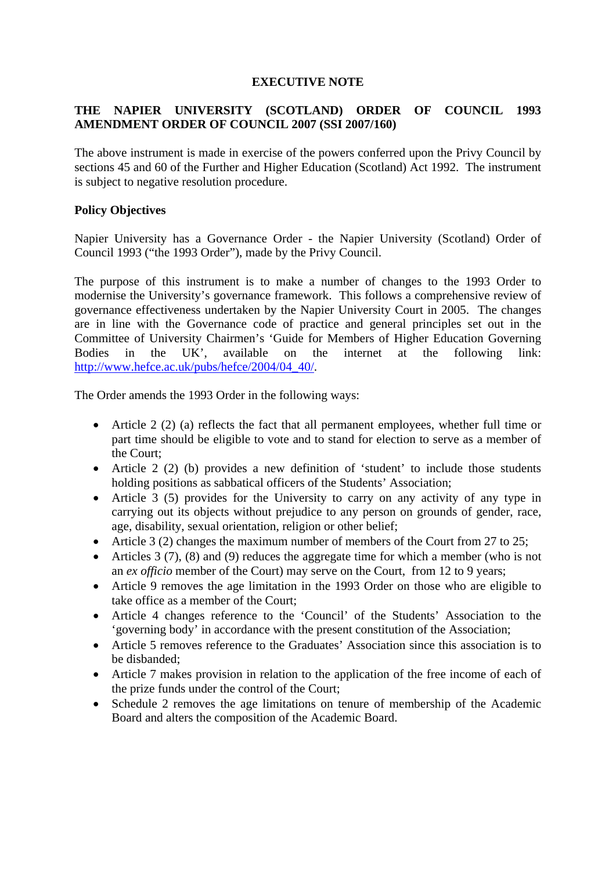# **EXECUTIVE NOTE**

# **THE NAPIER UNIVERSITY (SCOTLAND) ORDER OF COUNCIL 1993 AMENDMENT ORDER OF COUNCIL 2007 (SSI 2007/160)**

The above instrument is made in exercise of the powers conferred upon the Privy Council by sections 45 and 60 of the Further and Higher Education (Scotland) Act 1992. The instrument is subject to negative resolution procedure.

# **Policy Objectives**

Napier University has a Governance Order - the Napier University (Scotland) Order of Council 1993 ("the 1993 Order"), made by the Privy Council.

The purpose of this instrument is to make a number of changes to the 1993 Order to modernise the University's governance framework. This follows a comprehensive review of governance effectiveness undertaken by the Napier University Court in 2005. The changes are in line with the Governance code of practice and general principles set out in the Committee of University Chairmen's 'Guide for Members of Higher Education Governing Bodies in the UK', available on the internet at the following link: [http://www.hefce.ac.uk/pubs/hefce/2004/04\\_40/.](http://www.hefce.ac.uk/pubs/hefce/2004/04_40/)

The Order amends the 1993 Order in the following ways:

- Article 2 (2) (a) reflects the fact that all permanent employees, whether full time or part time should be eligible to vote and to stand for election to serve as a member of the Court;
- Article 2 (2) (b) provides a new definition of 'student' to include those students holding positions as sabbatical officers of the Students' Association;
- Article 3 (5) provides for the University to carry on any activity of any type in carrying out its objects without prejudice to any person on grounds of gender, race, age, disability, sexual orientation, religion or other belief;
- Article 3 (2) changes the maximum number of members of the Court from 27 to 25;
- Articles 3 (7), (8) and (9) reduces the aggregate time for which a member (who is not an *ex officio* member of the Court) may serve on the Court, from 12 to 9 years;
- Article 9 removes the age limitation in the 1993 Order on those who are eligible to take office as a member of the Court;
- Article 4 changes reference to the 'Council' of the Students' Association to the 'governing body' in accordance with the present constitution of the Association;
- Article 5 removes reference to the Graduates' Association since this association is to be disbanded;
- Article 7 makes provision in relation to the application of the free income of each of the prize funds under the control of the Court;
- Schedule 2 removes the age limitations on tenure of membership of the Academic Board and alters the composition of the Academic Board.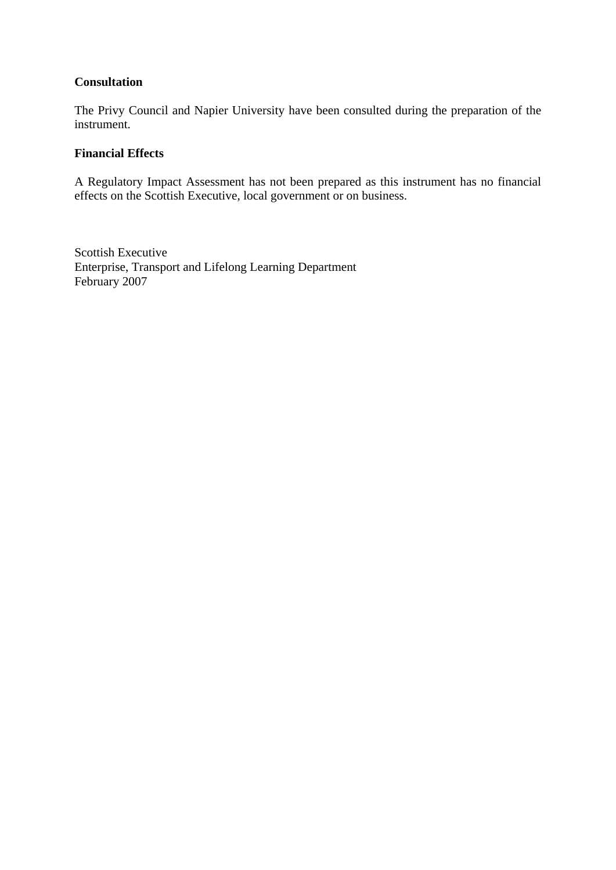# **Consultation**

The Privy Council and Napier University have been consulted during the preparation of the instrument.

# **Financial Effects**

A Regulatory Impact Assessment has not been prepared as this instrument has no financial effects on the Scottish Executive, local government or on business.

Scottish Executive Enterprise, Transport and Lifelong Learning Department February 2007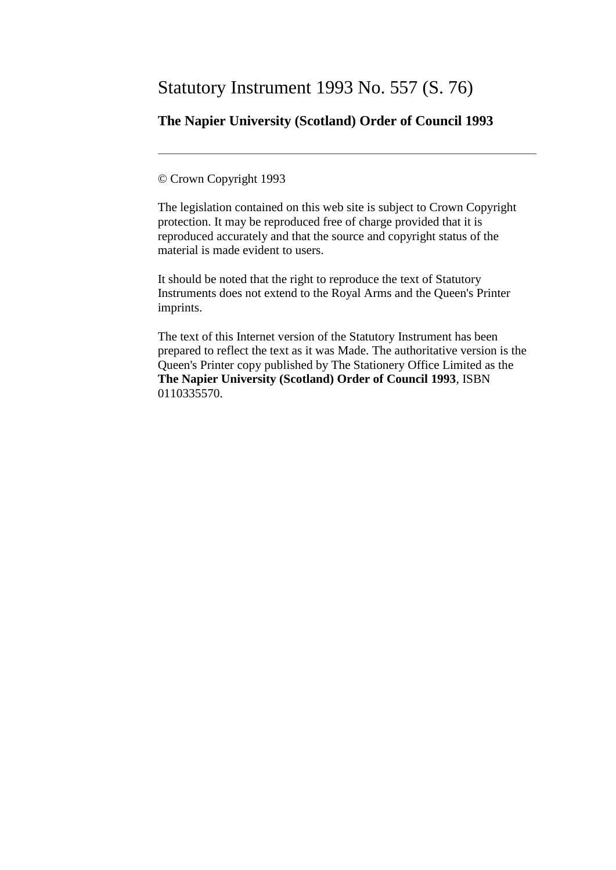# Statutory Instrument 1993 No. 557 (S. 76)

# **The Napier University (Scotland) Order of Council 1993**

© Crown Copyright 1993

The legislation contained on this web site is subject to Crown Copyright protection. It may be reproduced free of charge provided that it is reproduced accurately and that the source and copyright status of the material is made evident to users.

It should be noted that the right to reproduce the text of Statutory Instruments does not extend to the Royal Arms and the Queen's Printer imprints.

The text of this Internet version of the Statutory Instrument has been prepared to reflect the text as it was Made. The authoritative version is the Queen's Printer copy published by The Stationery Office Limited as the **The Napier University (Scotland) Order of Council 1993**, ISBN 0110335570.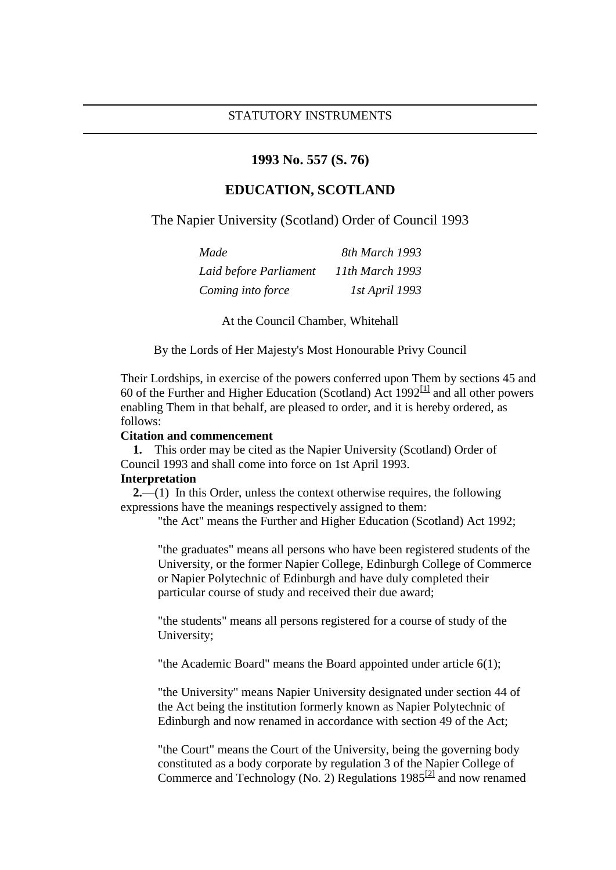### **1993 No. 557 (S. 76)**

# **EDUCATION, SCOTLAND**

The Napier University (Scotland) Order of Council 1993

| Made                   | 8th March 1993  |
|------------------------|-----------------|
| Laid before Parliament | 11th March 1993 |
| Coming into force      | 1st April 1993  |

At the Council Chamber, Whitehall

By the Lords of Her Majesty's Most Honourable Privy Council

Their Lordships, in exercise of the powers conferred upon Them by sections 45 and 60 of the Further and Higher Education (Scotland) Act  $1992^{[1]}$  $1992^{[1]}$  $1992^{[1]}$  and all other powers enabling Them in that behalf, are pleased to order, and it is hereby ordered, as follows:

### **Citation and commencement**

 **1.** This order may be cited as the Napier University (Scotland) Order of Council 1993 and shall come into force on 1st April 1993.

### **Interpretation**

**2.**—(1) In this Order, unless the context otherwise requires, the following expressions have the meanings respectively assigned to them:

"the Act" means the Further and Higher Education (Scotland) Act 1992;

"the graduates" means all persons who have been registered students of the University, or the former Napier College, Edinburgh College of Commerce or Napier Polytechnic of Edinburgh and have duly completed their particular course of study and received their due award;

"the students" means all persons registered for a course of study of the University;

"the Academic Board" means the Board appointed under article 6(1);

"the University" means Napier University designated under section 44 of the Act being the institution formerly known as Napier Polytechnic of Edinburgh and now renamed in accordance with section 49 of the Act;

"the Court" means the Court of the University, being the governing body constituted as a body corporate by regulation 3 of the Napier College of Commerce and Technology (No. 2) Regulations  $1985^{[2]}$  $1985^{[2]}$  $1985^{[2]}$  and now renamed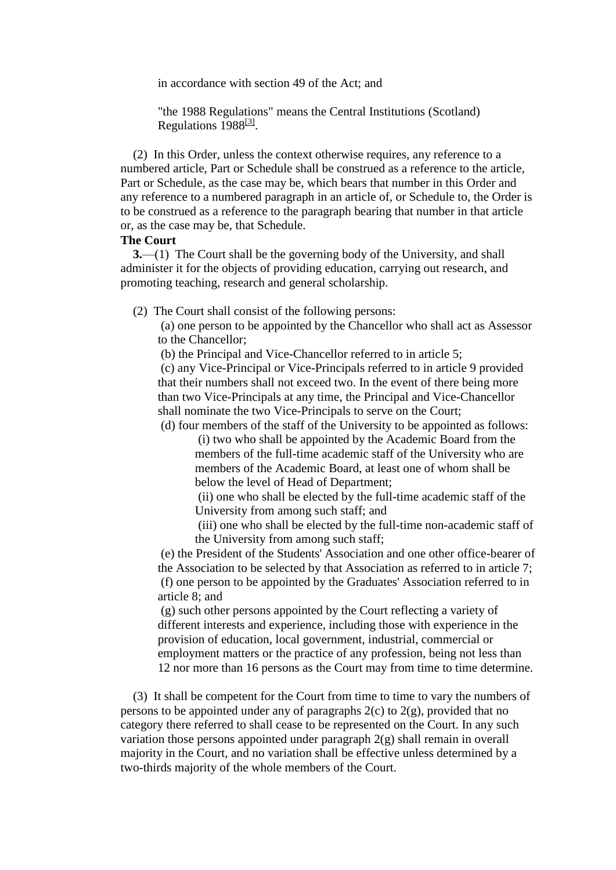in accordance with section 49 of the Act; and

"the 1988 Regulations" means the Central Institutions (Scotland) Regulations 1988<sup>[\[3\]](http://www.opsi.gov.uk/si/si1993/Uksi_19930557_en_1.htm#tfnf003)</sup>.

 (2) In this Order, unless the context otherwise requires, any reference to a numbered article, Part or Schedule shall be construed as a reference to the article, Part or Schedule, as the case may be, which bears that number in this Order and any reference to a numbered paragraph in an article of, or Schedule to, the Order is to be construed as a reference to the paragraph bearing that number in that article or, as the case may be, that Schedule.

### **The Court**

 **3.**—(1) The Court shall be the governing body of the University, and shall administer it for the objects of providing education, carrying out research, and promoting teaching, research and general scholarship.

(2) The Court shall consist of the following persons:

(a) one person to be appointed by the Chancellor who shall act as Assessor to the Chancellor;

(b) the Principal and Vice-Chancellor referred to in article 5;

(c) any Vice-Principal or Vice-Principals referred to in article 9 provided that their numbers shall not exceed two. In the event of there being more than two Vice-Principals at any time, the Principal and Vice-Chancellor shall nominate the two Vice-Principals to serve on the Court;

(d) four members of the staff of the University to be appointed as follows:

(i) two who shall be appointed by the Academic Board from the members of the full-time academic staff of the University who are members of the Academic Board, at least one of whom shall be below the level of Head of Department;

(ii) one who shall be elected by the full-time academic staff of the University from among such staff; and

(iii) one who shall be elected by the full-time non-academic staff of the University from among such staff;

(e) the President of the Students' Association and one other office-bearer of the Association to be selected by that Association as referred to in article 7; (f) one person to be appointed by the Graduates' Association referred to in article 8; and

(g) such other persons appointed by the Court reflecting a variety of different interests and experience, including those with experience in the provision of education, local government, industrial, commercial or employment matters or the practice of any profession, being not less than 12 nor more than 16 persons as the Court may from time to time determine.

 (3) It shall be competent for the Court from time to time to vary the numbers of persons to be appointed under any of paragraphs  $2(c)$  to  $2(g)$ , provided that no category there referred to shall cease to be represented on the Court. In any such variation those persons appointed under paragraph  $2(g)$  shall remain in overall majority in the Court, and no variation shall be effective unless determined by a two-thirds majority of the whole members of the Court.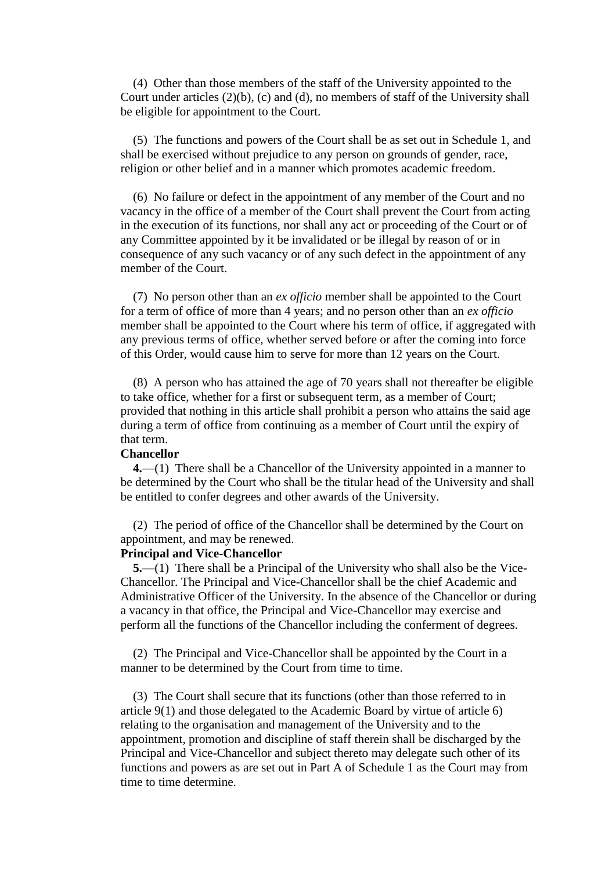(4) Other than those members of the staff of the University appointed to the Court under articles (2)(b), (c) and (d), no members of staff of the University shall be eligible for appointment to the Court.

 (5) The functions and powers of the Court shall be as set out in Schedule 1, and shall be exercised without prejudice to any person on grounds of gender, race, religion or other belief and in a manner which promotes academic freedom.

 (6) No failure or defect in the appointment of any member of the Court and no vacancy in the office of a member of the Court shall prevent the Court from acting in the execution of its functions, nor shall any act or proceeding of the Court or of any Committee appointed by it be invalidated or be illegal by reason of or in consequence of any such vacancy or of any such defect in the appointment of any member of the Court.

 (7) No person other than an *ex officio* member shall be appointed to the Court for a term of office of more than 4 years; and no person other than an *ex officio* member shall be appointed to the Court where his term of office, if aggregated with any previous terms of office, whether served before or after the coming into force of this Order, would cause him to serve for more than 12 years on the Court.

 (8) A person who has attained the age of 70 years shall not thereafter be eligible to take office, whether for a first or subsequent term, as a member of Court; provided that nothing in this article shall prohibit a person who attains the said age during a term of office from continuing as a member of Court until the expiry of that term.

### **Chancellor**

 **4.**—(1) There shall be a Chancellor of the University appointed in a manner to be determined by the Court who shall be the titular head of the University and shall be entitled to confer degrees and other awards of the University.

 (2) The period of office of the Chancellor shall be determined by the Court on appointment, and may be renewed.

### **Principal and Vice-Chancellor**

 **5.**—(1) There shall be a Principal of the University who shall also be the Vice-Chancellor. The Principal and Vice-Chancellor shall be the chief Academic and Administrative Officer of the University. In the absence of the Chancellor or during a vacancy in that office, the Principal and Vice-Chancellor may exercise and perform all the functions of the Chancellor including the conferment of degrees.

 (2) The Principal and Vice-Chancellor shall be appointed by the Court in a manner to be determined by the Court from time to time.

 (3) The Court shall secure that its functions (other than those referred to in article 9(1) and those delegated to the Academic Board by virtue of article 6) relating to the organisation and management of the University and to the appointment, promotion and discipline of staff therein shall be discharged by the Principal and Vice-Chancellor and subject thereto may delegate such other of its functions and powers as are set out in Part A of Schedule 1 as the Court may from time to time determine.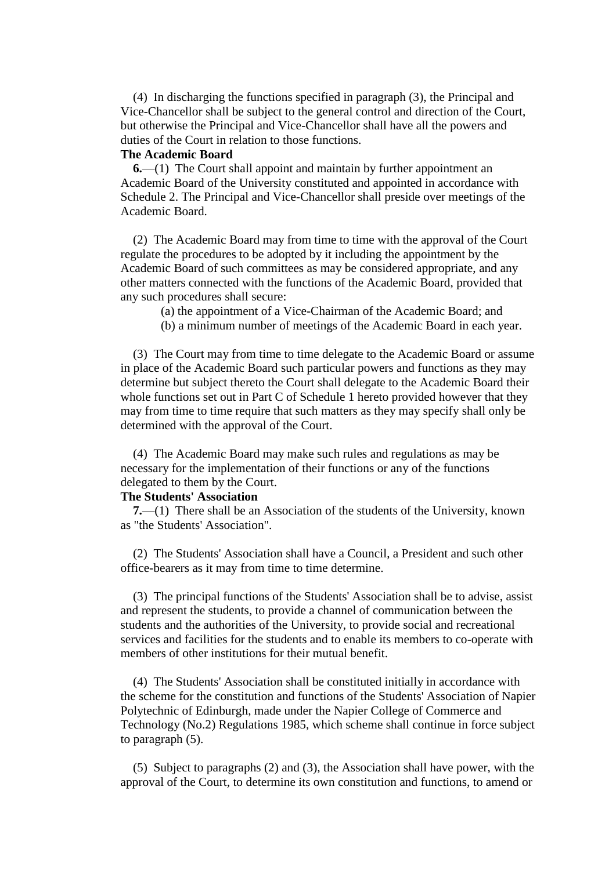(4) In discharging the functions specified in paragraph (3), the Principal and Vice-Chancellor shall be subject to the general control and direction of the Court, but otherwise the Principal and Vice-Chancellor shall have all the powers and duties of the Court in relation to those functions.

## **The Academic Board**

 **6.**—(1) The Court shall appoint and maintain by further appointment an Academic Board of the University constituted and appointed in accordance with Schedule 2. The Principal and Vice-Chancellor shall preside over meetings of the Academic Board.

 (2) The Academic Board may from time to time with the approval of the Court regulate the procedures to be adopted by it including the appointment by the Academic Board of such committees as may be considered appropriate, and any other matters connected with the functions of the Academic Board, provided that any such procedures shall secure:

(a) the appointment of a Vice-Chairman of the Academic Board; and

(b) a minimum number of meetings of the Academic Board in each year.

 (3) The Court may from time to time delegate to the Academic Board or assume in place of the Academic Board such particular powers and functions as they may determine but subject thereto the Court shall delegate to the Academic Board their whole functions set out in Part C of Schedule 1 hereto provided however that they may from time to time require that such matters as they may specify shall only be determined with the approval of the Court.

 (4) The Academic Board may make such rules and regulations as may be necessary for the implementation of their functions or any of the functions delegated to them by the Court.

### **The Students' Association**

 **7.**—(1) There shall be an Association of the students of the University, known as "the Students' Association".

 (2) The Students' Association shall have a Council, a President and such other office-bearers as it may from time to time determine.

 (3) The principal functions of the Students' Association shall be to advise, assist and represent the students, to provide a channel of communication between the students and the authorities of the University, to provide social and recreational services and facilities for the students and to enable its members to co-operate with members of other institutions for their mutual benefit.

 (4) The Students' Association shall be constituted initially in accordance with the scheme for the constitution and functions of the Students' Association of Napier Polytechnic of Edinburgh, made under the Napier College of Commerce and Technology (No.2) Regulations 1985, which scheme shall continue in force subject to paragraph (5).

 (5) Subject to paragraphs (2) and (3), the Association shall have power, with the approval of the Court, to determine its own constitution and functions, to amend or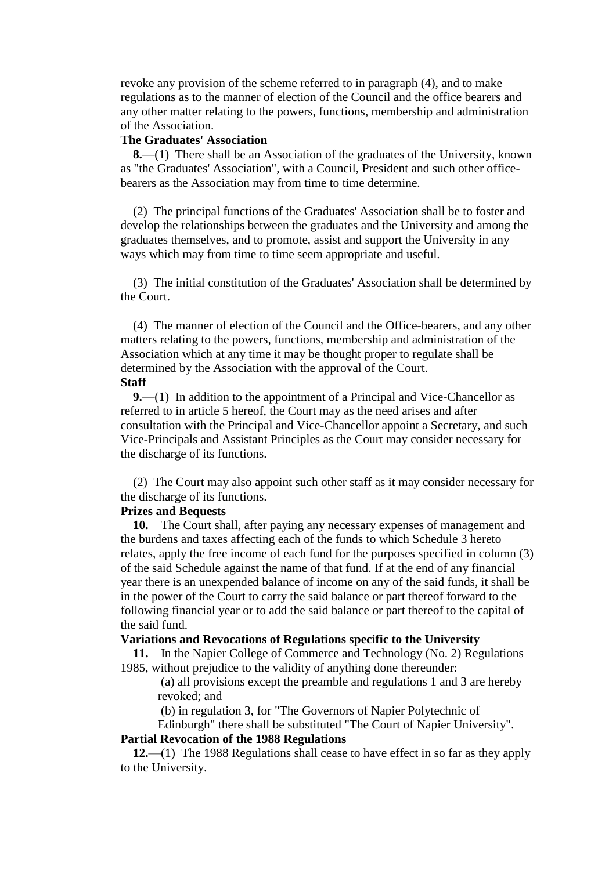revoke any provision of the scheme referred to in paragraph (4), and to make regulations as to the manner of election of the Council and the office bearers and any other matter relating to the powers, functions, membership and administration of the Association.

### **The Graduates' Association**

 **8.**—(1) There shall be an Association of the graduates of the University, known as "the Graduates' Association", with a Council, President and such other officebearers as the Association may from time to time determine.

 (2) The principal functions of the Graduates' Association shall be to foster and develop the relationships between the graduates and the University and among the graduates themselves, and to promote, assist and support the University in any ways which may from time to time seem appropriate and useful.

 (3) The initial constitution of the Graduates' Association shall be determined by the Court.

 (4) The manner of election of the Council and the Office-bearers, and any other matters relating to the powers, functions, membership and administration of the Association which at any time it may be thought proper to regulate shall be determined by the Association with the approval of the Court. **Staff**

 **9.**—(1) In addition to the appointment of a Principal and Vice-Chancellor as referred to in article 5 hereof, the Court may as the need arises and after consultation with the Principal and Vice-Chancellor appoint a Secretary, and such Vice-Principals and Assistant Principles as the Court may consider necessary for the discharge of its functions.

 (2) The Court may also appoint such other staff as it may consider necessary for the discharge of its functions.

### **Prizes and Bequests**

 **10.** The Court shall, after paying any necessary expenses of management and the burdens and taxes affecting each of the funds to which Schedule 3 hereto relates, apply the free income of each fund for the purposes specified in column (3) of the said Schedule against the name of that fund. If at the end of any financial year there is an unexpended balance of income on any of the said funds, it shall be in the power of the Court to carry the said balance or part thereof forward to the following financial year or to add the said balance or part thereof to the capital of the said fund.

### **Variations and Revocations of Regulations specific to the University**

 **11.** In the Napier College of Commerce and Technology (No. 2) Regulations 1985, without prejudice to the validity of anything done thereunder:

(a) all provisions except the preamble and regulations 1 and 3 are hereby revoked; and

(b) in regulation 3, for "The Governors of Napier Polytechnic of

Edinburgh" there shall be substituted "The Court of Napier University".

## **Partial Revocation of the 1988 Regulations**

 **12.**—(1) The 1988 Regulations shall cease to have effect in so far as they apply to the University.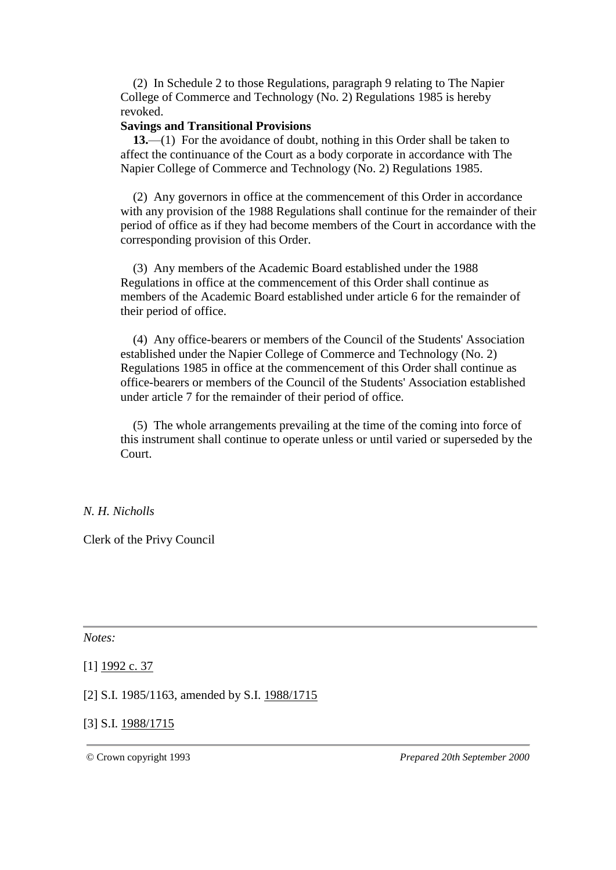(2) In Schedule 2 to those Regulations, paragraph 9 relating to The Napier College of Commerce and Technology (No. 2) Regulations 1985 is hereby revoked.

### **Savings and Transitional Provisions**

 **13.**—(1) For the avoidance of doubt, nothing in this Order shall be taken to affect the continuance of the Court as a body corporate in accordance with The Napier College of Commerce and Technology (No. 2) Regulations 1985.

 (2) Any governors in office at the commencement of this Order in accordance with any provision of the 1988 Regulations shall continue for the remainder of their period of office as if they had become members of the Court in accordance with the corresponding provision of this Order.

 (3) Any members of the Academic Board established under the 1988 Regulations in office at the commencement of this Order shall continue as members of the Academic Board established under article 6 for the remainder of their period of office.

 (4) Any office-bearers or members of the Council of the Students' Association established under the Napier College of Commerce and Technology (No. 2) Regulations 1985 in office at the commencement of this Order shall continue as office-bearers or members of the Council of the Students' Association established under article 7 for the remainder of their period of office.

 (5) The whole arrangements prevailing at the time of the coming into force of this instrument shall continue to operate unless or until varied or superseded by the Court.

## *N. H. Nicholls*

Clerk of the Privy Council

*Notes:*

[1] [1992 c.](http://www.opsi.gov.uk/acts/acts1992/Ukpga_19920037_en_1.htm) 37

[2] S.I. 1985/1163, amended by S.I. [1988/1715](http://www.opsi.gov.uk/si/si1988/Uksi_19881715_en_1.htm)

## [3] S.I. [1988/1715](http://www.opsi.gov.uk/si/si1988/Uksi_19881715_en_1.htm)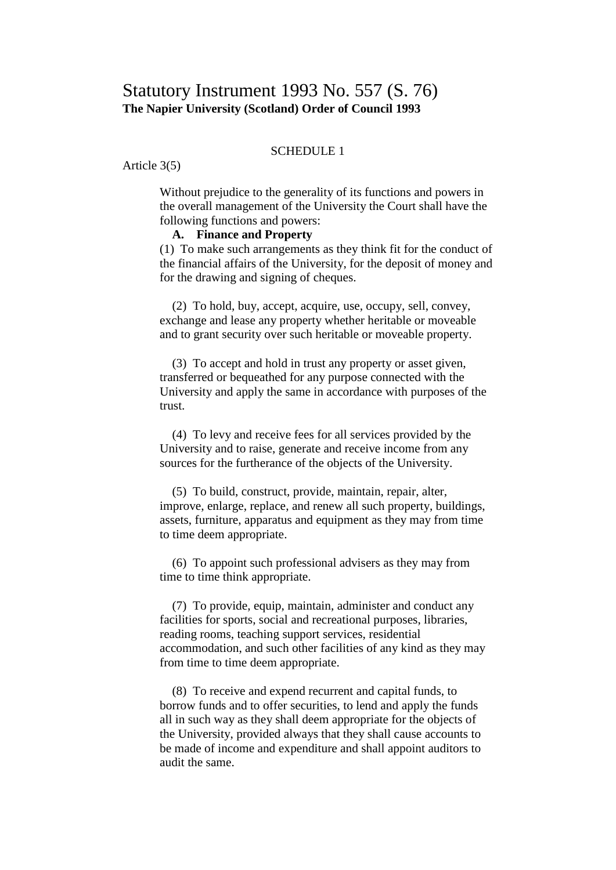### SCHEDULE 1

Article 3(5)

Without prejudice to the generality of its functions and powers in the overall management of the University the Court shall have the following functions and powers:

# **A. Finance and Property**

(1) To make such arrangements as they think fit for the conduct of the financial affairs of the University, for the deposit of money and for the drawing and signing of cheques.

 (2) To hold, buy, accept, acquire, use, occupy, sell, convey, exchange and lease any property whether heritable or moveable and to grant security over such heritable or moveable property.

 (3) To accept and hold in trust any property or asset given, transferred or bequeathed for any purpose connected with the University and apply the same in accordance with purposes of the trust.

 (4) To levy and receive fees for all services provided by the University and to raise, generate and receive income from any sources for the furtherance of the objects of the University.

 (5) To build, construct, provide, maintain, repair, alter, improve, enlarge, replace, and renew all such property, buildings, assets, furniture, apparatus and equipment as they may from time to time deem appropriate.

 (6) To appoint such professional advisers as they may from time to time think appropriate.

 (7) To provide, equip, maintain, administer and conduct any facilities for sports, social and recreational purposes, libraries, reading rooms, teaching support services, residential accommodation, and such other facilities of any kind as they may from time to time deem appropriate.

 (8) To receive and expend recurrent and capital funds, to borrow funds and to offer securities, to lend and apply the funds all in such way as they shall deem appropriate for the objects of the University, provided always that they shall cause accounts to be made of income and expenditure and shall appoint auditors to audit the same.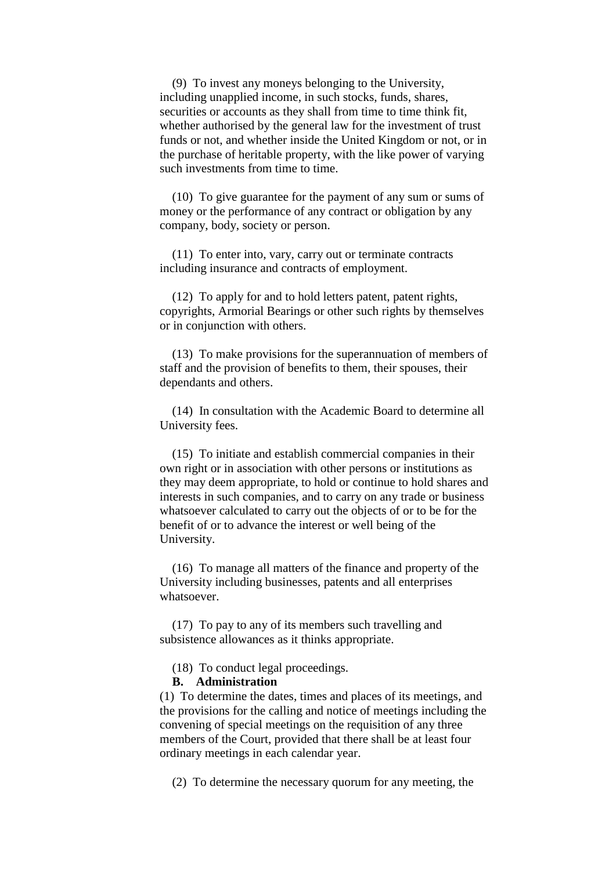(9) To invest any moneys belonging to the University, including unapplied income, in such stocks, funds, shares, securities or accounts as they shall from time to time think fit, whether authorised by the general law for the investment of trust funds or not, and whether inside the United Kingdom or not, or in the purchase of heritable property, with the like power of varying such investments from time to time.

 (10) To give guarantee for the payment of any sum or sums of money or the performance of any contract or obligation by any company, body, society or person.

 (11) To enter into, vary, carry out or terminate contracts including insurance and contracts of employment.

 (12) To apply for and to hold letters patent, patent rights, copyrights, Armorial Bearings or other such rights by themselves or in conjunction with others.

 (13) To make provisions for the superannuation of members of staff and the provision of benefits to them, their spouses, their dependants and others.

 (14) In consultation with the Academic Board to determine all University fees.

 (15) To initiate and establish commercial companies in their own right or in association with other persons or institutions as they may deem appropriate, to hold or continue to hold shares and interests in such companies, and to carry on any trade or business whatsoever calculated to carry out the objects of or to be for the benefit of or to advance the interest or well being of the University.

 (16) To manage all matters of the finance and property of the University including businesses, patents and all enterprises whatsoever.

 (17) To pay to any of its members such travelling and subsistence allowances as it thinks appropriate.

(18) To conduct legal proceedings.

## **B. Administration**

(1) To determine the dates, times and places of its meetings, and the provisions for the calling and notice of meetings including the convening of special meetings on the requisition of any three members of the Court, provided that there shall be at least four ordinary meetings in each calendar year.

(2) To determine the necessary quorum for any meeting, the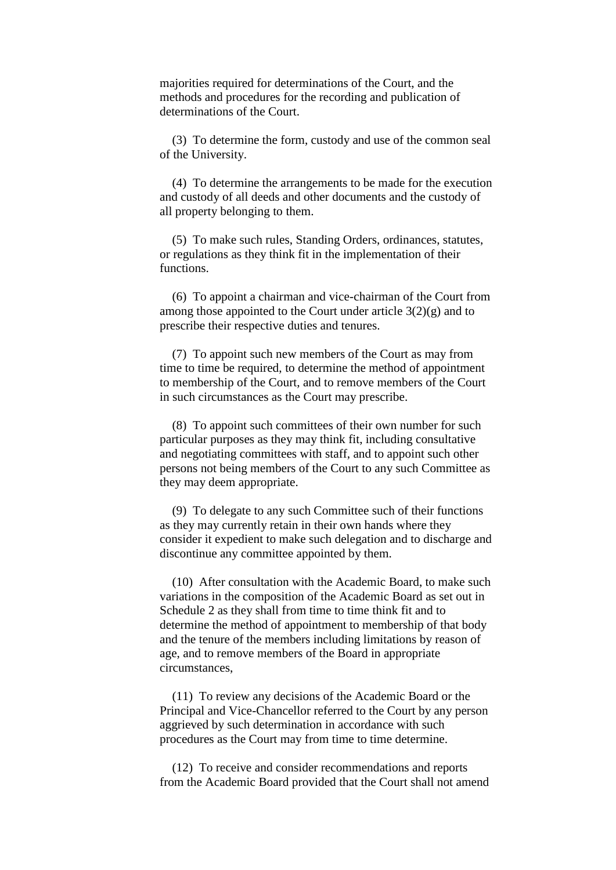majorities required for determinations of the Court, and the methods and procedures for the recording and publication of determinations of the Court.

 (3) To determine the form, custody and use of the common seal of the University.

 (4) To determine the arrangements to be made for the execution and custody of all deeds and other documents and the custody of all property belonging to them.

 (5) To make such rules, Standing Orders, ordinances, statutes, or regulations as they think fit in the implementation of their functions.

 (6) To appoint a chairman and vice-chairman of the Court from among those appointed to the Court under article  $3(2)(g)$  and to prescribe their respective duties and tenures.

 (7) To appoint such new members of the Court as may from time to time be required, to determine the method of appointment to membership of the Court, and to remove members of the Court in such circumstances as the Court may prescribe.

 (8) To appoint such committees of their own number for such particular purposes as they may think fit, including consultative and negotiating committees with staff, and to appoint such other persons not being members of the Court to any such Committee as they may deem appropriate.

 (9) To delegate to any such Committee such of their functions as they may currently retain in their own hands where they consider it expedient to make such delegation and to discharge and discontinue any committee appointed by them.

 (10) After consultation with the Academic Board, to make such variations in the composition of the Academic Board as set out in Schedule 2 as they shall from time to time think fit and to determine the method of appointment to membership of that body and the tenure of the members including limitations by reason of age, and to remove members of the Board in appropriate circumstances,

 (11) To review any decisions of the Academic Board or the Principal and Vice-Chancellor referred to the Court by any person aggrieved by such determination in accordance with such procedures as the Court may from time to time determine.

 (12) To receive and consider recommendations and reports from the Academic Board provided that the Court shall not amend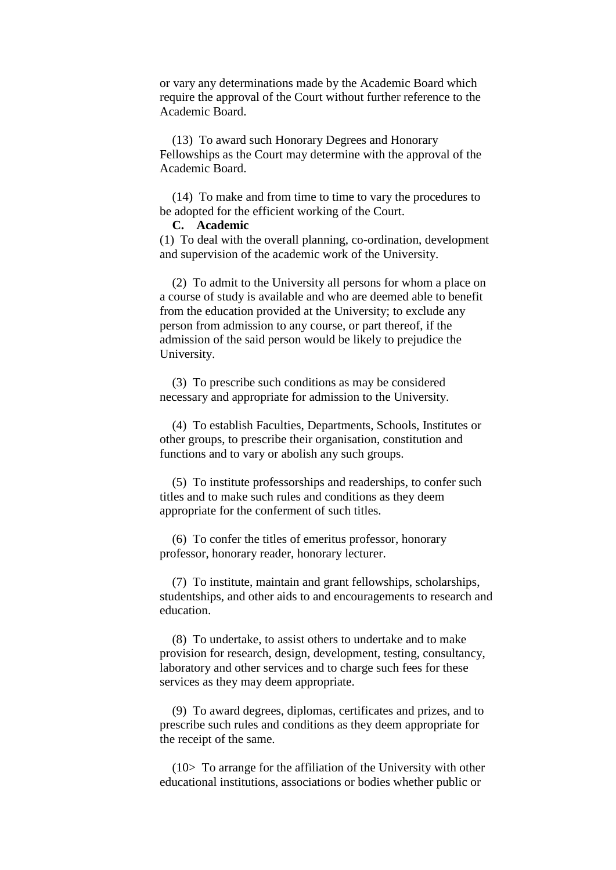or vary any determinations made by the Academic Board which require the approval of the Court without further reference to the Academic Board.

 (13) To award such Honorary Degrees and Honorary Fellowships as the Court may determine with the approval of the Academic Board.

 (14) To make and from time to time to vary the procedures to be adopted for the efficient working of the Court.

### **C. Academic**

(1) To deal with the overall planning, co-ordination, development and supervision of the academic work of the University.

 (2) To admit to the University all persons for whom a place on a course of study is available and who are deemed able to benefit from the education provided at the University; to exclude any person from admission to any course, or part thereof, if the admission of the said person would be likely to prejudice the University.

 (3) To prescribe such conditions as may be considered necessary and appropriate for admission to the University.

 (4) To establish Faculties, Departments, Schools, Institutes or other groups, to prescribe their organisation, constitution and functions and to vary or abolish any such groups.

 (5) To institute professorships and readerships, to confer such titles and to make such rules and conditions as they deem appropriate for the conferment of such titles.

 (6) To confer the titles of emeritus professor, honorary professor, honorary reader, honorary lecturer.

 (7) To institute, maintain and grant fellowships, scholarships, studentships, and other aids to and encouragements to research and education.

 (8) To undertake, to assist others to undertake and to make provision for research, design, development, testing, consultancy, laboratory and other services and to charge such fees for these services as they may deem appropriate.

 (9) To award degrees, diplomas, certificates and prizes, and to prescribe such rules and conditions as they deem appropriate for the receipt of the same.

 (10> To arrange for the affiliation of the University with other educational institutions, associations or bodies whether public or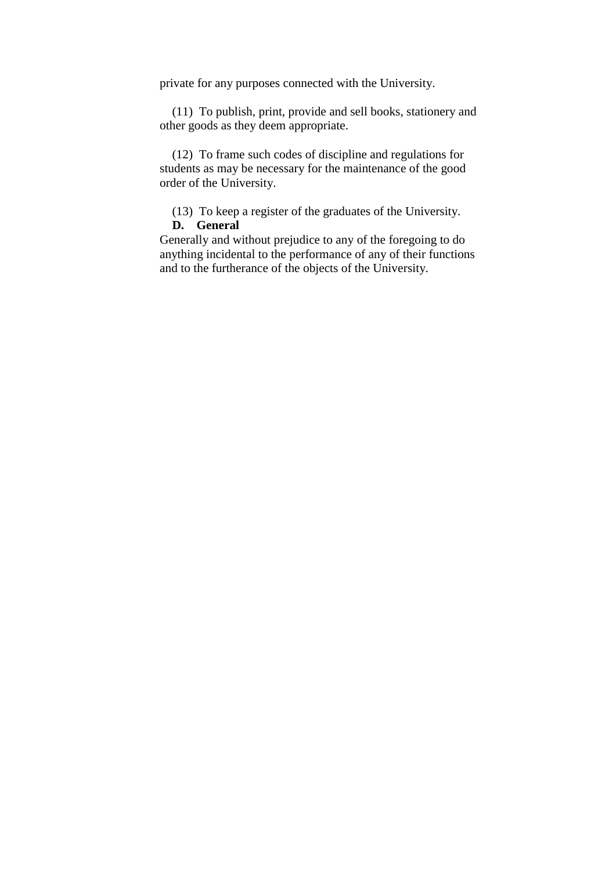private for any purposes connected with the University.

 (11) To publish, print, provide and sell books, stationery and other goods as they deem appropriate.

 (12) To frame such codes of discipline and regulations for students as may be necessary for the maintenance of the good order of the University.

(13) To keep a register of the graduates of the University.

## **D. General**

Generally and without prejudice to any of the foregoing to do anything incidental to the performance of any of their functions and to the furtherance of the objects of the University.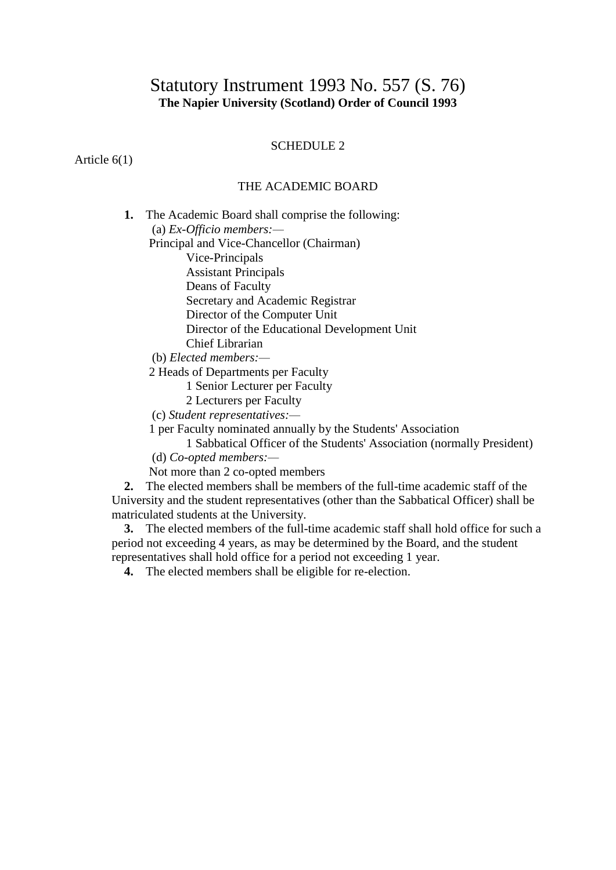# Statutory Instrument 1993 No. 557 (S. 76) **The Napier University (Scotland) Order of Council 1993**

## SCHEDULE 2

Article 6(1)

# THE ACADEMIC BOARD

 **1.** The Academic Board shall comprise the following: (a) *Ex-Officio members:—* Principal and Vice-Chancellor (Chairman) Vice-Principals Assistant Principals Deans of Faculty Secretary and Academic Registrar Director of the Computer Unit Director of the Educational Development Unit Chief Librarian (b) *Elected members:—*

2 Heads of Departments per Faculty

1 Senior Lecturer per Faculty

2 Lecturers per Faculty

(c) *Student representatives:—*

1 per Faculty nominated annually by the Students' Association

1 Sabbatical Officer of the Students' Association (normally President)

(d) *Co-opted members:—*

Not more than 2 co-opted members

 **2.** The elected members shall be members of the full-time academic staff of the University and the student representatives (other than the Sabbatical Officer) shall be matriculated students at the University.

 **3.** The elected members of the full-time academic staff shall hold office for such a period not exceeding 4 years, as may be determined by the Board, and the student representatives shall hold office for a period not exceeding 1 year.

**4.** The elected members shall be eligible for re-election.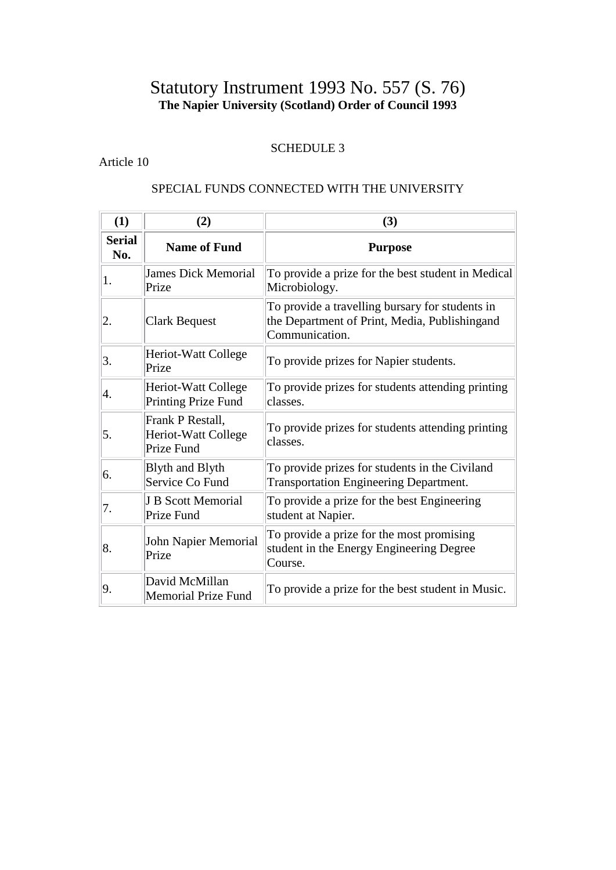# Statutory Instrument 1993 No. 557 (S. 76) **The Napier University (Scotland) Order of Council 1993**

# SCHEDULE 3

# Article 10

# SPECIAL FUNDS CONNECTED WITH THE UNIVERSITY

| (1)                  | (2)                                                   | (3)                                                                                                                |
|----------------------|-------------------------------------------------------|--------------------------------------------------------------------------------------------------------------------|
| <b>Serial</b><br>No. | <b>Name of Fund</b>                                   | <b>Purpose</b>                                                                                                     |
| 1.                   | <b>James Dick Memorial</b><br>Prize                   | To provide a prize for the best student in Medical<br>Microbiology.                                                |
| 2.                   | <b>Clark Bequest</b>                                  | To provide a travelling bursary for students in<br>the Department of Print, Media, Publishingand<br>Communication. |
| 3.                   | Heriot-Watt College<br>Prize                          | To provide prizes for Napier students.                                                                             |
| 4.                   | Heriot-Watt College<br><b>Printing Prize Fund</b>     | To provide prizes for students attending printing<br>classes.                                                      |
| 5.                   | Frank P Restall,<br>Heriot-Watt College<br>Prize Fund | To provide prizes for students attending printing<br>classes.                                                      |
| 6.                   | <b>Blyth and Blyth</b><br>Service Co Fund             | To provide prizes for students in the Civiland<br><b>Transportation Engineering Department.</b>                    |
| 7.                   | <b>J B Scott Memorial</b><br>Prize Fund               | To provide a prize for the best Engineering<br>student at Napier.                                                  |
| 8.                   | John Napier Memorial<br>Prize                         | To provide a prize for the most promising<br>student in the Energy Engineering Degree<br>Course.                   |
| 9.                   | David McMillan<br><b>Memorial Prize Fund</b>          | To provide a prize for the best student in Music.                                                                  |